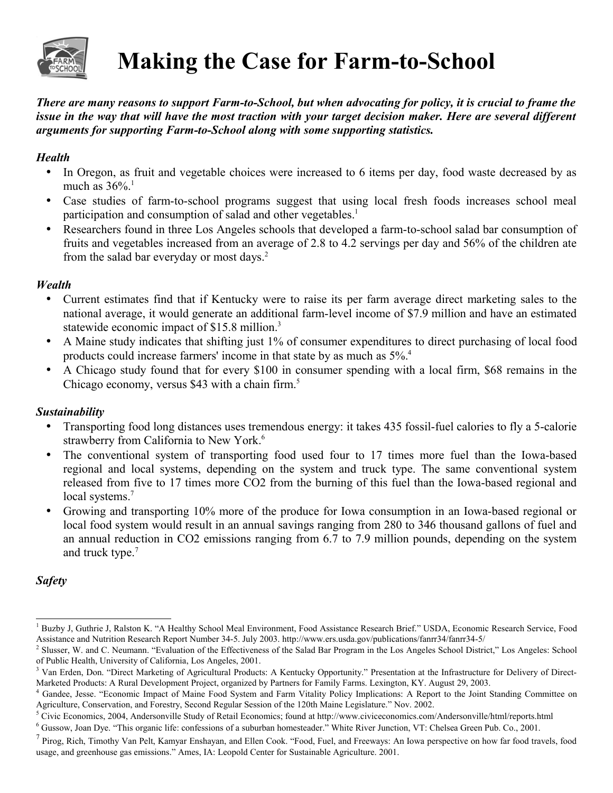

# **Making the Case for Farm-to-School**

*There are many reasons to support Farm-to-School, but when advocating for policy, it is crucial to frame the issue in the way that will have the most traction with your target decision maker. Here are several different arguments for supporting Farm-to-School along with some supporting statistics.*

### *Health*

- In Oregon, as fruit and vegetable choices were increased to 6 items per day, food waste decreased by as much as  $36\%$ <sup>[1](#page-0-0)</sup>
- Case studies of farm-to-school programs suggest that using local fresh foods increases school meal participation and consumption of salad and other vegetables.<sup>1</sup>
- Researchers found in three Los Angeles schools that developed a farm-to-school salad bar consumption of fruits and vegetables increased from an average of 2.8 to 4.2 servings per day and 56% of the children ate from the salad bar everyday or most days.<sup>[2](#page-0-1)</sup>

### *Wealth*

- Current estimates find that if Kentucky were to raise its per farm average direct marketing sales to the national average, it would generate an additional farm-level income of \$7.9 million and have an estimated statewide economic impact of \$15.8 million.<sup>[3](#page-0-2)</sup>
- A Maine study indicates that shifting just 1% of consumer expenditures to direct purchasing of local food products could increase farmers' income in that state by as much as 5%.[4](#page-0-3)
- A Chicago study found that for every \$100 in consumer spending with a local firm, \$68 remains in the Chicago economy, versus \$43 with a chain firm.<sup>[5](#page-0-4)</sup>

# *Sustainability*

- Transporting food long distances uses tremendous energy: it takes 435 fossil-fuel calories to fly a 5-calorie strawberry from California to New York.<sup>[6](#page-0-5)</sup>
- The conventional system of transporting food used four to 17 times more fuel than the Iowa-based regional and local systems, depending on the system and truck type. The same conventional system released from five to 17 times more CO2 from the burning of this fuel than the Iowa-based regional and local systems.<sup>[7](#page-0-6)</sup>
- Growing and transporting 10% more of the produce for Iowa consumption in an Iowa-based regional or local food system would result in an annual savings ranging from 280 to 346 thousand gallons of fuel and an annual reduction in CO2 emissions ranging from 6.7 to 7.9 million pounds, depending on the system and truck type.<sup>7</sup>

# *Safety*

<span id="page-0-0"></span><sup>&</sup>lt;sup>1</sup> Buzby J, Guthrie J, Ralston K. "A Healthy School Meal Environment, Food Assistance Research Brief." USDA, Economic Research Service, Food Assistance and Nutrition Research Report Number 34-5. July 2003. http://www.ers.usda.gov/publications/fanrr34/fanrr34-5/

<span id="page-0-1"></span><sup>&</sup>lt;sup>2</sup> Slusser, W. and C. Neumann. "Evaluation of the Effectiveness of the Salad Bar Program in the Los Angeles School District," Los Angeles: School of Public Health, University of California, Los Angeles, 2001.

<span id="page-0-2"></span><sup>&</sup>lt;sup>3</sup> Van Erden, Don. "Direct Marketing of Agricultural Products: A Kentucky Opportunity." Presentation at the Infrastructure for Delivery of Direct-Marketed Products: A Rural Development Project, organized by Partners for Family Farms. Lexington, KY. August 29, 2003.

<span id="page-0-3"></span><sup>4</sup> Gandee, Jesse. "Economic Impact of Maine Food System and Farm Vitality Policy Implications: A Report to the Joint Standing Committee on Agriculture, Conservation, and Forestry, Second Regular Session of the 120th Maine Legislature." Nov. 2002.

<span id="page-0-4"></span> $5$  Civic Economics, 2004, Andersonville Study of Retail Economics; found at http://www.civiceconomics.com/Andersonville/html/reports.html

<span id="page-0-5"></span><sup>&</sup>lt;sup>6</sup> Gussow, Joan Dye. "This organic life: confessions of a suburban homesteader." White River Junction, VT: Chelsea Green Pub. Co., 2001.

<span id="page-0-6"></span> $<sup>7</sup>$  Pirog, Rich, Timothy Van Pelt, Kamyar Enshayan, and Ellen Cook. "Food, Fuel, and Freeways: An Iowa perspective on how far food travels, food</sup> usage, and greenhouse gas emissions." Ames, IA: Leopold Center for Sustainable Agriculture. 2001.